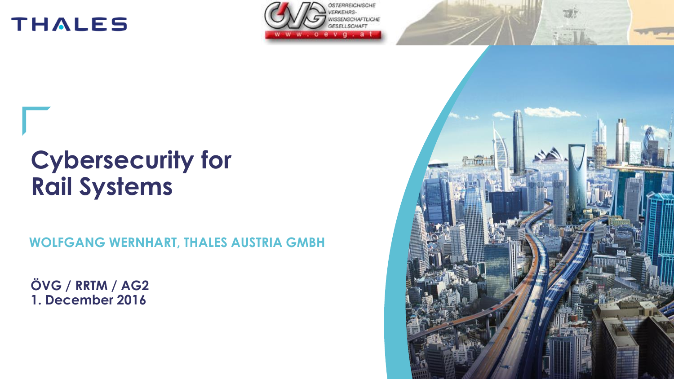



## **Cybersecurity for Rail Systems**

 **WOLFGANG WERNHART, THALES AUSTRIA GMBH**

**ÖVG / RRTM / AG2 1. December 2016**

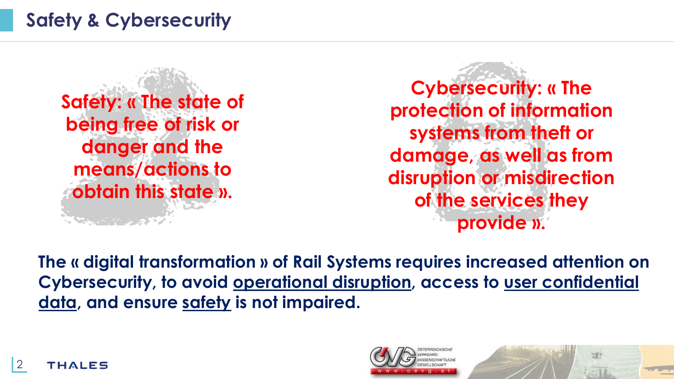## **Safety & Cybersecurity**

**Safety: « The state of being free of risk or danger and the means/actions to obtain this state ».**  کی ہے جو میں اس کے لیے

**Cybersecurity: « The protection of information systems from theft or damage, as well as from disruption or misdirection of the services they provide ».** 

**The « digital transformation » of Rail Systems requires increased attention on Cybersecurity, to avoid operational disruption, access to user confidential data, and ensure safety is not impaired.** 





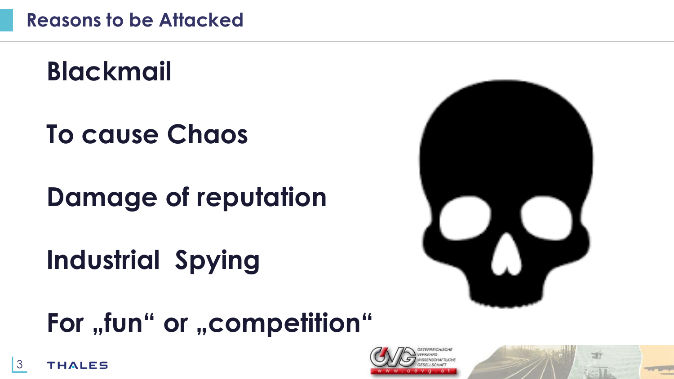# **Blackmail**

# **To cause Chaos**

# **Damage of reputation**

# **Industrial Spying**



# **For "fun" or "competition"**



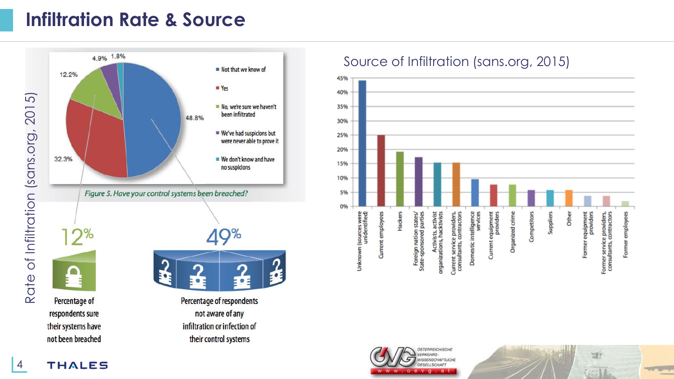### **Infiltration Rate & Source**



## Source of Infiltration (sans.org, 2015)



FRAFICHISCHI **ISCHAFTLICHE** o e v q a t

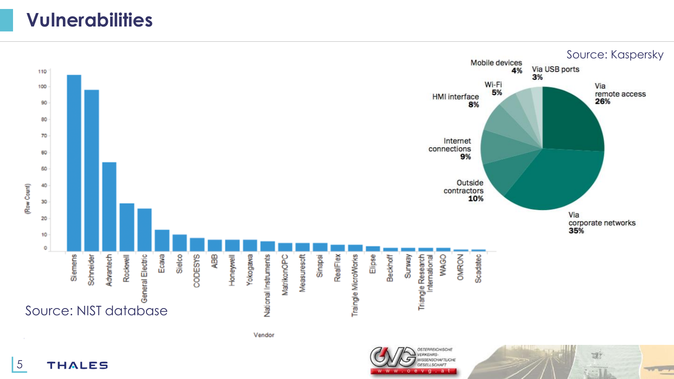### **Vulnerabilities**



5 **THALES**  o e v g . a t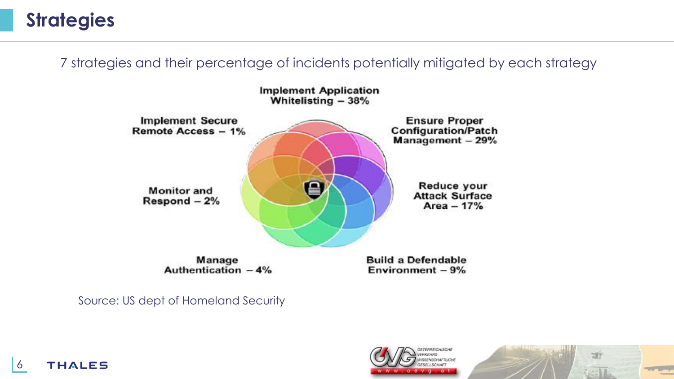## **Strategies**

7 strategies and their percentage of incidents potentially mitigated by each strategy



Source: US dept of Homeland Security





**THALES** 6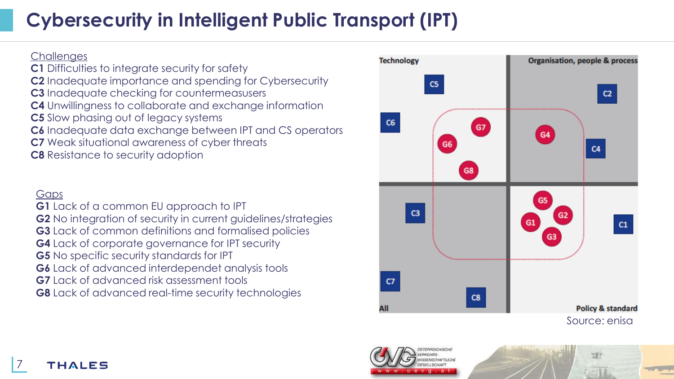## **Cybersecurity in Intelligent Public Transport (IPT)**

#### **Challenges**

**C1** Difficulties to integrate security for safety **C2** Inadequate importance and spending for Cybersecurity **C3** Inadequate checking for countermeasusers **C4** Unwillingness to collaborate and exchange information **C5** Slow phasing out of legacy systems **C6** Inadequate data exchange between IPT and CS operators **C7** Weak situational awareness of cyber threats **C8** Resistance to security adoption

#### Gaps

**G1** Lack of a common EU approach to IPT **G2** No integration of security in current guidelines/strategies **G3** Lack of common definitions and formalised policies **G4** Lack of corporate governance for IPT security **G5** No specific security standards for IPT **G6** Lack of advanced interdependet analysis tools **G7** Lack of advanced risk assessment tools **G8** Lack of advanced real-time security technologies





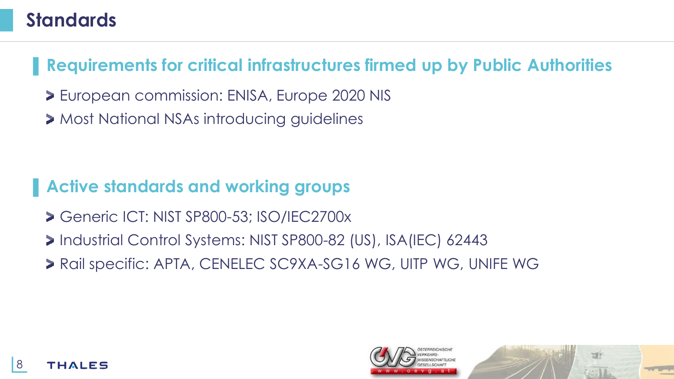### **Standards**

▌ **Requirements for critical infrastructures firmed up by Public Authorities**

- European commission: ENISA, Europe 2020 NIS
- **> Most National NSAs introducing guidelines**

### ▌**Active standards and working groups**

- Generic ICT: NIST SP800-53; ISO/IEC2700x
- Industrial Control Systems: NIST SP800-82 (US), ISA(IEC) 62443
- > Rail specific: APTA, CENELEC SC9XA-SG16 WG, UITP WG, UNIFE WG



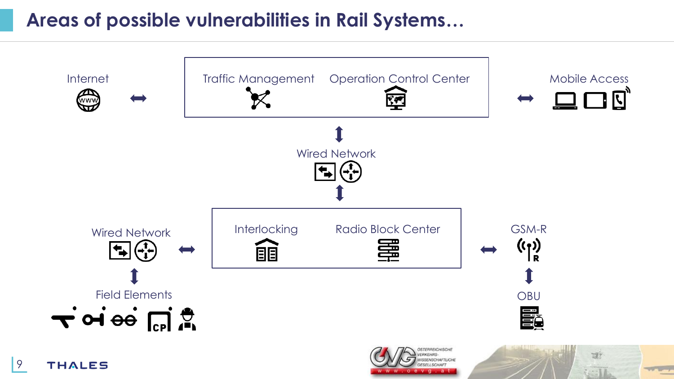### **Areas of possible vulnerabilities in Rail Systems…**



v q.at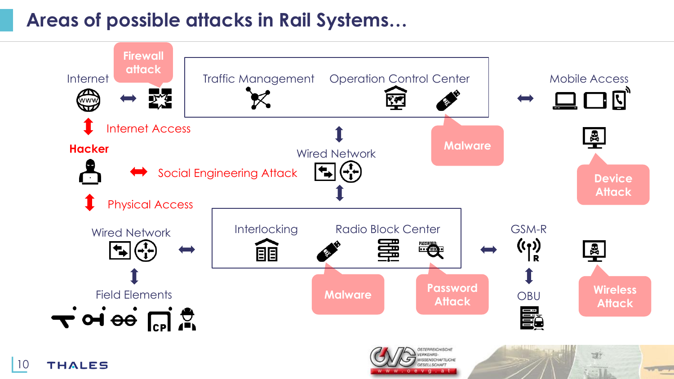### **Areas of possible attacks in Rail Systems…**

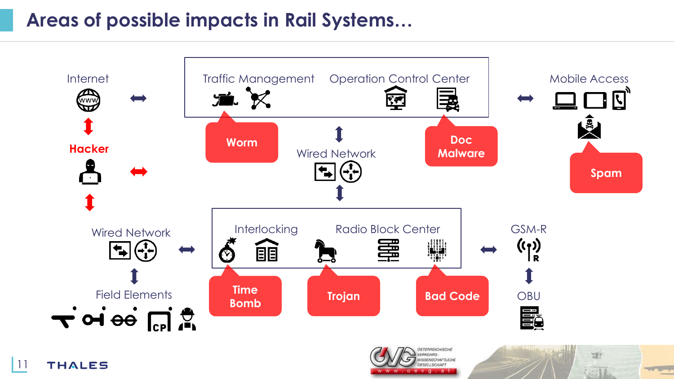### **Areas of possible impacts in Rail Systems…**



11 **THALES** 

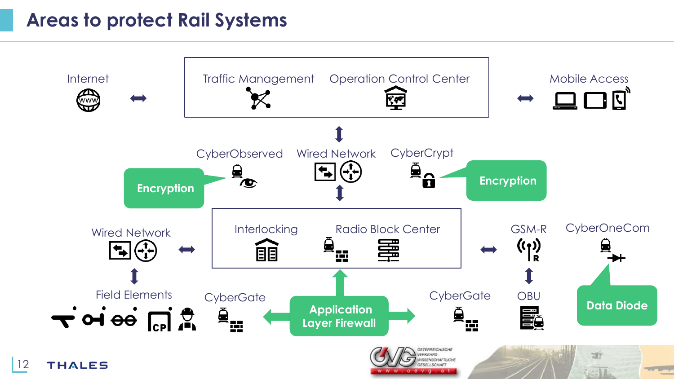### **Areas to protect Rail Systems**

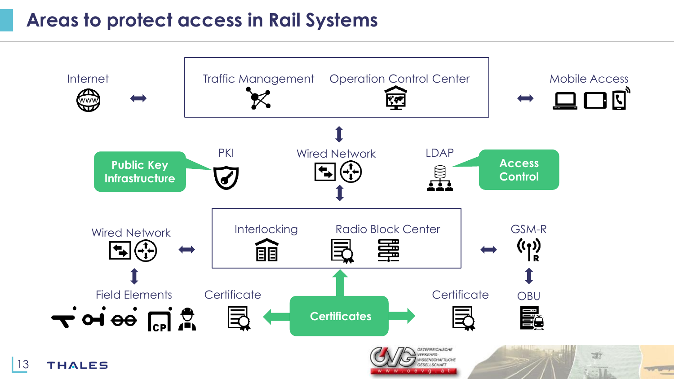### **Areas to protect access in Rail Systems**

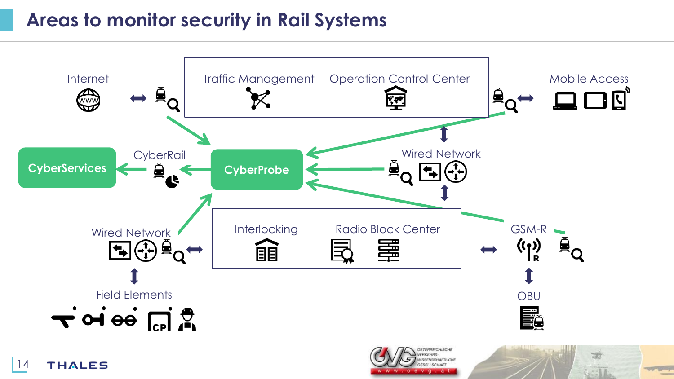### **Areas to monitor security in Rail Systems**



v q.at